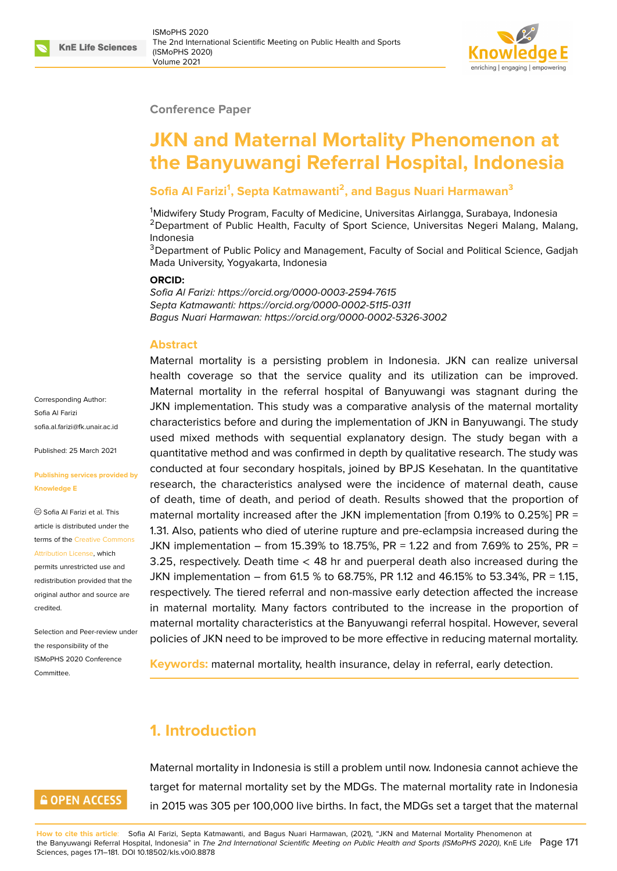### **Conference Paper**

# **JKN and Maternal Mortality Phenomenon at the Banyuwangi Referral Hospital, Indonesia**

### **Sofia Al Farizi<sup>1</sup> , Septa Katmawanti<sup>2</sup> , and Bagus Nuari Harmawan<sup>3</sup>**

<sup>1</sup>Midwifery Study Program, Faculty of Medicine, Universitas Airlangga, Surabaya, Indonesia <sup>2</sup>Department of Public Health, Faculty of Sport Science, Universitas Negeri Malang, Malang, Indonesia

<sup>3</sup>Department of Public Policy and Management, Faculty of Social and Political Science, Gadjah Mada University, Yogyakarta, Indonesia

#### **ORCID:**

*Sofia Al Farizi: https://orcid.org/0000-0003-2594-7615 Septa Katmawanti: https://orcid.org/0000-0002-5115-0311 Bagus Nuari Harmawan: https://orcid.org/0000-0002-5326-3002*

### **Abstract**

Maternal mortality is a persisting problem in Indonesia. JKN can realize universal health coverage so that the service quality and its utilization can be improved. Maternal mortality in the referral hospital of Banyuwangi was stagnant during the JKN implementation. This study was a comparative analysis of the maternal mortality characteristics before and during the implementation of JKN in Banyuwangi. The study used mixed methods with sequential explanatory design. The study began with a quantitative method and was confirmed in depth by qualitative research. The study was conducted at four secondary hospitals, joined by BPJS Kesehatan. In the quantitative research, the characteristics analysed were the incidence of maternal death, cause of death, time of death, and period of death. Results showed that the proportion of maternal mortality increased after the JKN implementation [from 0.19% to 0.25%] PR = 1.31. Also, patients who died of uterine rupture and pre-eclampsia increased during the JKN implementation – from 15.39% to 18.75%, PR = 1.22 and from 7.69% to 25%, PR = 3.25, respectively. Death time < 48 hr and puerperal death also increased during the JKN implementation – from 61.5 % to 68.75%, PR 1.12 and 46.15% to 53.34%, PR = 1.15, respectively. The tiered referral and non-massive early detection affected the increase in maternal mortality. Many factors contributed to the increase in the proportion of maternal mortality characteristics at the Banyuwangi referral hospital. However, several policies of JKN need to be improved to be more effective in reducing maternal mortality.

**Keywords:** maternal mortality, health insurance, delay in referral, early detection.

## **1. Introduction**

Maternal mortality in Indonesia is still a problem until now. Indonesia cannot achieve the target for maternal mortality set by the MDGs. The maternal mortality rate in Indonesia in 2015 was 305 per 100,000 live births. In fact, the MDGs set a target that the maternal

**How to cite this article**: Sofia Al Farizi, Septa Katmawanti, and Bagus Nuari Harmawan, (2021), "JKN and Maternal Mortality Phenomenon at the Banyuwangi Referral Hospital, Indonesia" in *The 2nd International Scientific Meeting on Public Health and Sports (ISMoPHS 2020)*, KnE Life Page 171 Sciences, pages 171–181. DOI 10.18502/kls.v0i0.8878

Corresponding Author: Sofia Al Farizi sofia.al.farizi@fk.unair.ac.id

Published: 25 March 2021

#### **[Publishing services provid](mailto:sofia.al.farizi@fk.unair.ac.id)ed by Knowledge E**

Sofia Al Farizi et al. This article is distributed under the terms of the Creative Commons Attribution License, which

permits unrestricted use and redistribution provided that the original auth[or and source are](https://creativecommons.org/licenses/by/4.0/) [credited.](https://creativecommons.org/licenses/by/4.0/)

Selection and Peer-review under the responsibility of the ISMoPHS 2020 Conference Committee.

## **GOPEN ACCESS**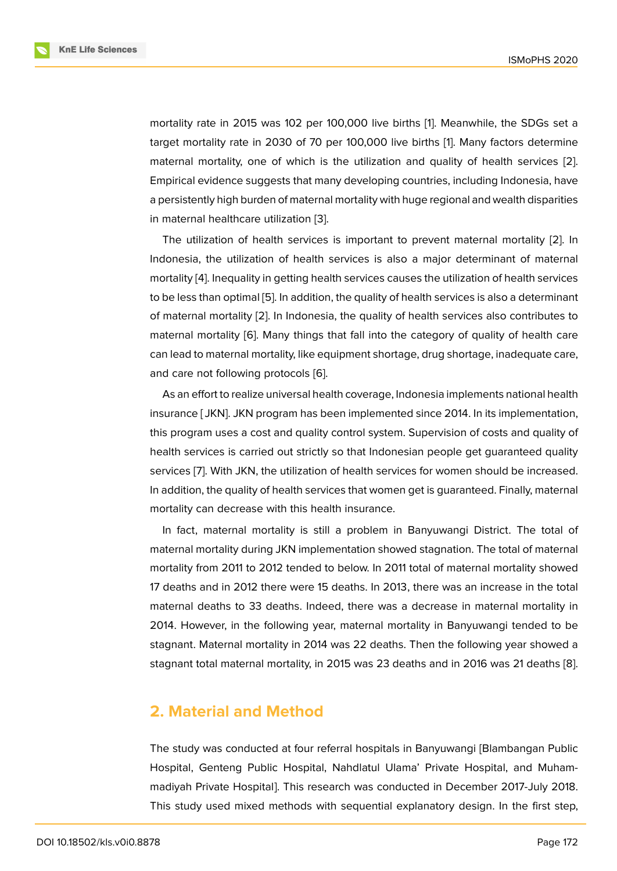mortality rate in 2015 was 102 per 100,000 live births [1]. Meanwhile, the SDGs set a target mortality rate in 2030 of 70 per 100,000 live births [1]. Many factors determine maternal mortality, one of which is the utilization and quality of health services [2]. Empirical evidence suggests that many developing coun[tr](#page-8-0)ies, including Indonesia, have a persistently high burden of maternal mortality with huge reg[io](#page-8-0)nal and wealth disparities in maternal healthcare utilization [3].

The utilization of health services is important to prevent maternal mortality [2]. In Indonesia, the utilization of health services is also a major determinant of maternal mortality [4]. Inequality in getting [he](#page-8-1)alth services causes the utilization of health services to be less than optimal [5]. In addition, the quality of health services is also a deter[min](#page-8-2)ant of maternal mortality [2]. In Indonesia, the quality of health services also contributes to maternal [m](#page-8-3)ortality [6]. Many things that fall into the category of quality of health care can lead to maternal m[ort](#page-8-4)ality, like equipment shortage, drug shortage, inadequate care, and care not followin[g p](#page-8-2)rotocols [6].

As an effort to re[aliz](#page-8-5)e universal health coverage, Indonesia implements national health insurance [ JKN]. JKN program has been implemented since 2014. In its implementation, this program uses a cost and qua[lity](#page-8-5) control system. Supervision of costs and quality of health services is carried out strictly so that Indonesian people get guaranteed quality services [7]. With JKN, the utilization of health services for women should be increased. In addition, the quality of health services that women get is guaranteed. Finally, maternal mortality can decrease with this health insurance.

In fact[,](#page-8-6) maternal mortality is still a problem in Banyuwangi District. The total of maternal mortality during JKN implementation showed stagnation. The total of maternal mortality from 2011 to 2012 tended to below. In 2011 total of maternal mortality showed 17 deaths and in 2012 there were 15 deaths. In 2013, there was an increase in the total maternal deaths to 33 deaths. Indeed, there was a decrease in maternal mortality in 2014. However, in the following year, maternal mortality in Banyuwangi tended to be stagnant. Maternal mortality in 2014 was 22 deaths. Then the following year showed a stagnant total maternal mortality, in 2015 was 23 deaths and in 2016 was 21 deaths [8].

### **2. Material and Method**

The study was conducted at four referral hospitals in Banyuwangi [Blambangan Public Hospital, Genteng Public Hospital, Nahdlatul Ulama' Private Hospital, and Muhammadiyah Private Hospital]. This research was conducted in December 2017-July 2018. This study used mixed methods with sequential explanatory design. In the first step,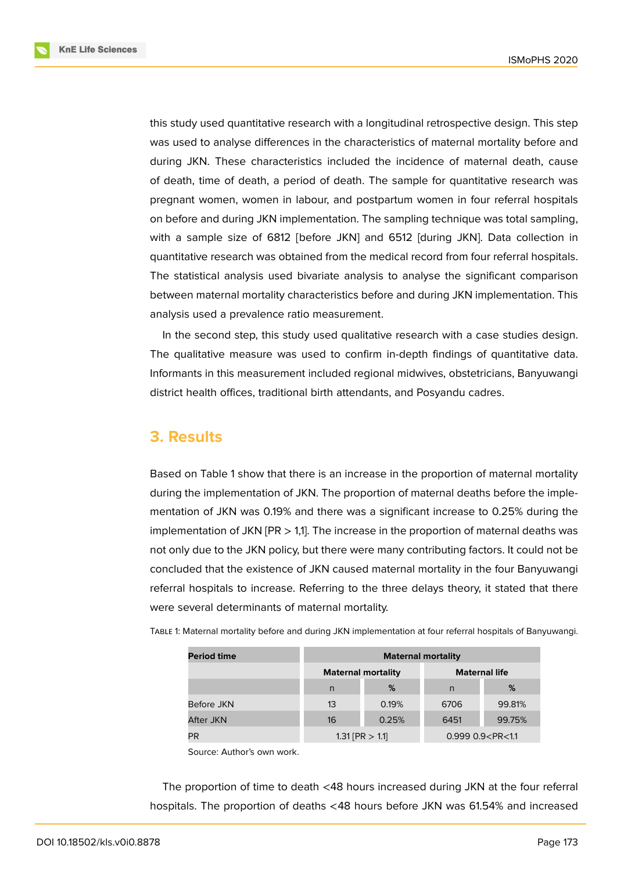**KnE Life Sciences** 



this study used quantitative research with a longitudinal retrospective design. This step was used to analyse differences in the characteristics of maternal mortality before and during JKN. These characteristics included the incidence of maternal death, cause of death, time of death, a period of death. The sample for quantitative research was pregnant women, women in labour, and postpartum women in four referral hospitals on before and during JKN implementation. The sampling technique was total sampling, with a sample size of 6812 [before JKN] and 6512 [during JKN]. Data collection in quantitative research was obtained from the medical record from four referral hospitals. The statistical analysis used bivariate analysis to analyse the significant comparison between maternal mortality characteristics before and during JKN implementation. This analysis used a prevalence ratio measurement.

In the second step, this study used qualitative research with a case studies design. The qualitative measure was used to confirm in-depth findings of quantitative data. Informants in this measurement included regional midwives, obstetricians, Banyuwangi district health offices, traditional birth attendants, and Posyandu cadres.

## **3. Results**

Based on Table 1 show that there is an increase in the proportion of maternal mortality during the implementation of JKN. The proportion of maternal deaths before the implementation of JKN was 0.19% and there was a significant increase to 0.25% during the implementation of JKN  $[PR > 1,1]$ . The increase in the proportion of maternal deaths was not only due to the JKN policy, but there were many contributing factors. It could not be concluded that the existence of JKN caused maternal mortality in the four Banyuwangi referral hospitals to increase. Referring to the three delays theory, it stated that there were several determinants of maternal mortality.

| TABLE 1: Maternal mortality before and during JKN implementation at four referral hospitals of Banyuwangi. |  |
|------------------------------------------------------------------------------------------------------------|--|
|------------------------------------------------------------------------------------------------------------|--|

| <b>Period time</b> | <b>Maternal mortality</b> |                           |                         |        |  |  |  |
|--------------------|---------------------------|---------------------------|-------------------------|--------|--|--|--|
|                    |                           | <b>Maternal mortality</b> | <b>Maternal life</b>    |        |  |  |  |
|                    | n                         | %                         | n                       | %      |  |  |  |
| Before JKN         | 13                        | 0.19%                     | 6706                    | 99.81% |  |  |  |
| After JKN          | 16                        | 0.25%                     | 6451                    | 99.75% |  |  |  |
| PR                 |                           | $1.31$ [PR $> 1.1$ ]      | $0.999 0.9 < P$ R < 1.1 |        |  |  |  |

Source: Author's own work.

The proportion of time to death <48 hours increased during JKN at the four referral hospitals. The proportion of deaths <48 hours before JKN was 61.54% and increased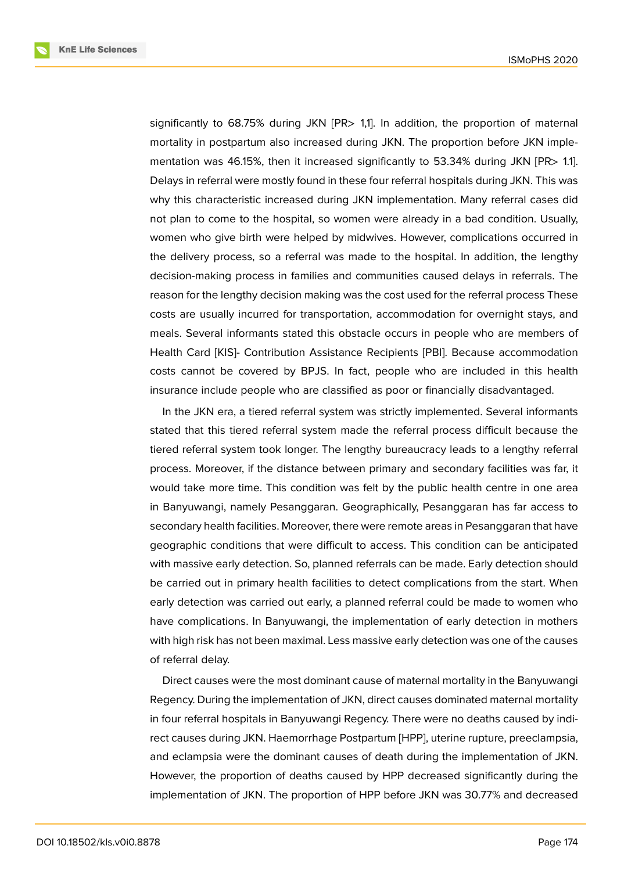**KnE Life Sciences** 



significantly to 68.75% during JKN [PR> 1,1]. In addition, the proportion of maternal mortality in postpartum also increased during JKN. The proportion before JKN implementation was 46.15%, then it increased significantly to 53.34% during JKN [PR> 1.1]. Delays in referral were mostly found in these four referral hospitals during JKN. This was why this characteristic increased during JKN implementation. Many referral cases did not plan to come to the hospital, so women were already in a bad condition. Usually, women who give birth were helped by midwives. However, complications occurred in the delivery process, so a referral was made to the hospital. In addition, the lengthy decision-making process in families and communities caused delays in referrals. The reason for the lengthy decision making was the cost used for the referral process These costs are usually incurred for transportation, accommodation for overnight stays, and meals. Several informants stated this obstacle occurs in people who are members of Health Card [KIS]- Contribution Assistance Recipients [PBI]. Because accommodation costs cannot be covered by BPJS. In fact, people who are included in this health insurance include people who are classified as poor or financially disadvantaged.

In the JKN era, a tiered referral system was strictly implemented. Several informants stated that this tiered referral system made the referral process difficult because the tiered referral system took longer. The lengthy bureaucracy leads to a lengthy referral process. Moreover, if the distance between primary and secondary facilities was far, it would take more time. This condition was felt by the public health centre in one area in Banyuwangi, namely Pesanggaran. Geographically, Pesanggaran has far access to secondary health facilities. Moreover, there were remote areas in Pesanggaran that have geographic conditions that were difficult to access. This condition can be anticipated with massive early detection. So, planned referrals can be made. Early detection should be carried out in primary health facilities to detect complications from the start. When early detection was carried out early, a planned referral could be made to women who have complications. In Banyuwangi, the implementation of early detection in mothers with high risk has not been maximal. Less massive early detection was one of the causes of referral delay.

Direct causes were the most dominant cause of maternal mortality in the Banyuwangi Regency. During the implementation of JKN, direct causes dominated maternal mortality in four referral hospitals in Banyuwangi Regency. There were no deaths caused by indirect causes during JKN. Haemorrhage Postpartum [HPP], uterine rupture, preeclampsia, and eclampsia were the dominant causes of death during the implementation of JKN. However, the proportion of deaths caused by HPP decreased significantly during the implementation of JKN. The proportion of HPP before JKN was 30.77% and decreased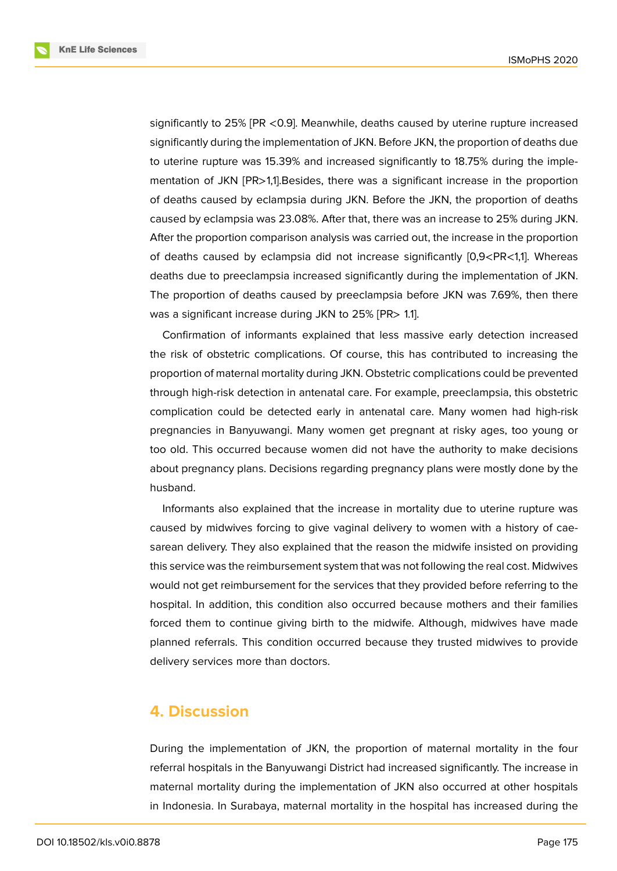**KnE Life Sciences** 



significantly to 25% [PR <0.9]. Meanwhile, deaths caused by uterine rupture increased significantly during the implementation of JKN. Before JKN, the proportion of deaths due to uterine rupture was 15.39% and increased significantly to 18.75% during the implementation of JKN [PR>1,1].Besides, there was a significant increase in the proportion of deaths caused by eclampsia during JKN. Before the JKN, the proportion of deaths caused by eclampsia was 23.08%. After that, there was an increase to 25% during JKN. After the proportion comparison analysis was carried out, the increase in the proportion of deaths caused by eclampsia did not increase significantly [0,9<PR<1,1]. Whereas deaths due to preeclampsia increased significantly during the implementation of JKN. The proportion of deaths caused by preeclampsia before JKN was 7.69%, then there was a significant increase during JKN to 25% [PR> 1.1].

Confirmation of informants explained that less massive early detection increased the risk of obstetric complications. Of course, this has contributed to increasing the proportion of maternal mortality during JKN. Obstetric complications could be prevented through high-risk detection in antenatal care. For example, preeclampsia, this obstetric complication could be detected early in antenatal care. Many women had high-risk pregnancies in Banyuwangi. Many women get pregnant at risky ages, too young or too old. This occurred because women did not have the authority to make decisions about pregnancy plans. Decisions regarding pregnancy plans were mostly done by the husband.

Informants also explained that the increase in mortality due to uterine rupture was caused by midwives forcing to give vaginal delivery to women with a history of caesarean delivery. They also explained that the reason the midwife insisted on providing this service was the reimbursement system that was not following the real cost. Midwives would not get reimbursement for the services that they provided before referring to the hospital. In addition, this condition also occurred because mothers and their families forced them to continue giving birth to the midwife. Although, midwives have made planned referrals. This condition occurred because they trusted midwives to provide delivery services more than doctors.

## **4. Discussion**

During the implementation of JKN, the proportion of maternal mortality in the four referral hospitals in the Banyuwangi District had increased significantly. The increase in maternal mortality during the implementation of JKN also occurred at other hospitals in Indonesia. In Surabaya, maternal mortality in the hospital has increased during the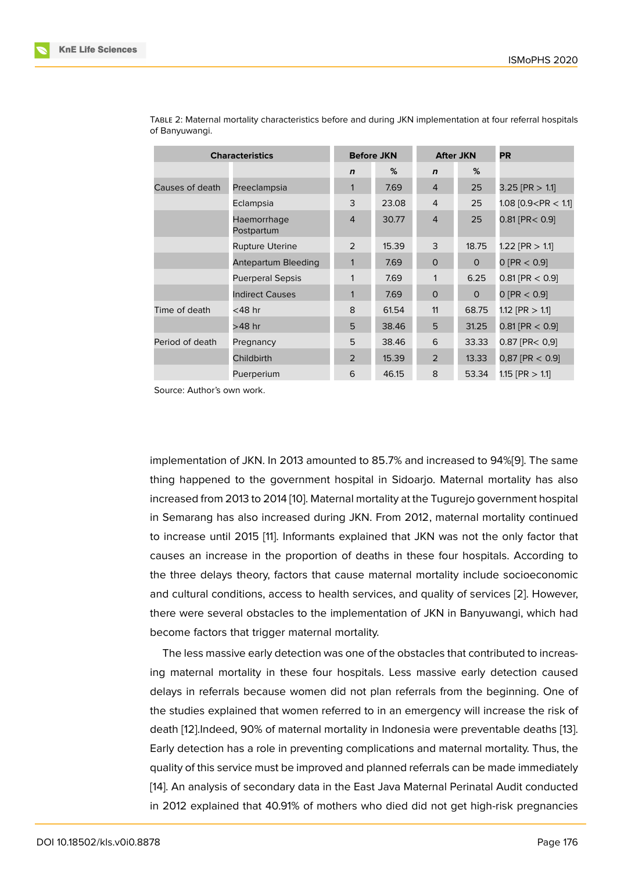| <b>Characteristics</b> |                           | <b>Before JKN</b> |       | <b>After JKN</b> |              | <b>PR</b>               |
|------------------------|---------------------------|-------------------|-------|------------------|--------------|-------------------------|
|                        |                           | $\mathbf n$       | %     | $\mathbf n$      | %            |                         |
| Causes of death        | Preeclampsia              | 1                 | 7.69  | $\overline{4}$   | 25           | $3.25$ [PR $> 1.1$ ]    |
|                        | Eclampsia                 | 3                 | 23.08 | $\overline{4}$   | 25           | 1.08 $[0.9 < PR < 1.1]$ |
|                        | Haemorrhage<br>Postpartum | 4                 | 30.77 | $\overline{4}$   | 25           | $0.81$ [PR $< 0.9$ ]    |
|                        | <b>Rupture Uterine</b>    | 2                 | 15.39 | 3                | 18.75        | 1.22 [PR $> 1.1$ ]      |
|                        | Antepartum Bleeding       | $\mathbf{1}$      | 7.69  | $\Omega$         | $\mathbf{O}$ | 0 [PR < 0.9]            |
|                        | <b>Puerperal Sepsis</b>   | 1                 | 7.69  | 1                | 6.25         | $0.81$ [PR $< 0.9$ ]    |
|                        | <b>Indirect Causes</b>    | $\mathbf{1}$      | 7.69  | $\mathbf 0$      | $\mathbf{O}$ | 0 [PR < 0.9]            |
| Time of death          | $<$ 48 hr                 | 8                 | 61.54 | 11               | 68.75        | 1.12 [PR $> 1.1$ ]      |
|                        | >48 hr                    | 5                 | 38.46 | 5                | 31.25        | $0.81$ [PR $< 0.9$ ]    |
| Period of death        | Pregnancy                 | 5                 | 38.46 | 6                | 33.33        | $0.87$ [PR< $0.9$ ]     |
|                        | Childbirth                | 2                 | 15.39 | $\overline{2}$   | 13.33        | $0,87$ [PR $< 0.9$ ]    |
|                        | Puerperium                | 6                 | 46.15 | 8                | 53.34        | $1.15$ [PR $> 1.1$ ]    |

TABLE 2: Maternal mortality characteristics before and during JKN implementation at four referral hospitals of Banyuwangi.

Source: Author's own work.

implementation of JKN. In 2013 amounted to 85.7% and increased to 94%[9]. The same thing happened to the government hospital in Sidoarjo. Maternal mortality has also increased from 2013 to 2014 [10]. Maternal mortality at the Tugurejo government hospital in Semarang has also increased during JKN. From 2012, maternal mortal[ity](#page-9-0) continued to increase until 2015 [11]. Informants explained that JKN was not the only factor that causes an increase in the [prop](#page-9-1)ortion of deaths in these four hospitals. According to the three delays theory, factors that cause maternal mortality include socioeconomic and cultural conditions, [a](#page-9-2)ccess to health services, and quality of services [2]. However, there were several obstacles to the implementation of JKN in Banyuwangi, which had become factors that trigger maternal mortality.

The less massive early detection was one of the obstacles that contribut[ed](#page-8-2) to increasing maternal mortality in these four hospitals. Less massive early detection caused delays in referrals because women did not plan referrals from the beginning. One of the studies explained that women referred to in an emergency will increase the risk of death [12].Indeed, 90% of maternal mortality in Indonesia were preventable deaths [13]. Early detection has a role in preventing complications and maternal mortality. Thus, the quality of this service must be improved and planned referrals can be made immediately [14]. A[n an](#page-9-3)alysis of secondary data in the East Java Maternal Perinatal Audit conduc[ted](#page-9-4) in 2012 explained that 40.91% of mothers who died did not get high-risk pregnancies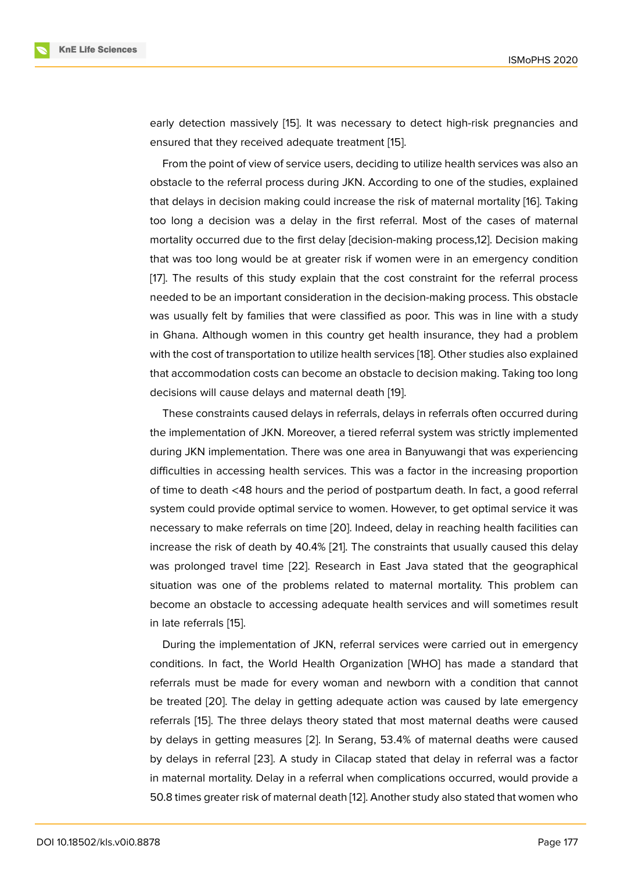early detection massively [15]. It was necessary to detect high-risk pregnancies and ensured that they received adequate treatment [15].

From the point of view of service users, deciding to utilize health services was also an obstacle to the referral pro[ces](#page-9-6)s during JKN. According to one of the studies, explained that delays in decision making could increase th[e r](#page-9-6)isk of maternal mortality [16]. Taking too long a decision was a delay in the first referral. Most of the cases of maternal mortality occurred due to the first delay [decision-making process,12]. Decision making that was too long would be at greater risk if women were in an emergenc[y c](#page-9-7)ondition [17]. The results of this study explain that the cost constraint for the referral process needed to be an important consideration in the decision-making process. This obstacle was usually felt by families that were classified as poor. This was in line with a study i[n](#page-9-8) Ghana. Although women in this country get health insurance, they had a problem with the cost of transportation to utilize health services [18]. Other studies also explained that accommodation costs can become an obstacle to decision making. Taking too long decisions will cause delays and maternal death [19].

These constraints caused delays in referrals, delays [in r](#page-9-9)eferrals often occurred during the implementation of JKN. Moreover, a tiered referral system was strictly implemented during JKN implementation. There was one area [in](#page-9-10) Banyuwangi that was experiencing difficulties in accessing health services. This was a factor in the increasing proportion of time to death <48 hours and the period of postpartum death. In fact, a good referral system could provide optimal service to women. However, to get optimal service it was necessary to make referrals on time [20]. Indeed, delay in reaching health facilities can increase the risk of death by 40.4% [21]. The constraints that usually caused this delay was prolonged travel time [22]. Research in East Java stated that the geographical situation was one of the problems [rel](#page-9-11)ated to maternal mortality. This problem can become an obstacle to accessing a[deq](#page-9-12)uate health services and will sometimes result in late referrals [15].

During the implementation of JKN, referral services were carried out in emergency conditions. In fact, the World Health Organization [WHO] has made a standard that referrals must [be](#page-9-6) made for every woman and newborn with a condition that cannot be treated [20]. The delay in getting adequate action was caused by late emergency referrals [15]. The three delays theory stated that most maternal deaths were caused by delays in getting measures [2]. In Serang, 53.4% of maternal deaths were caused by delays i[n re](#page-9-11)ferral [23]. A study in Cilacap stated that delay in referral was a factor in matern[al](#page-9-6) mortality. Delay in a referral when complications occurred, would provide a 50.8 times greater risk of matern[al](#page-8-2) death [12]. Another study also stated that women who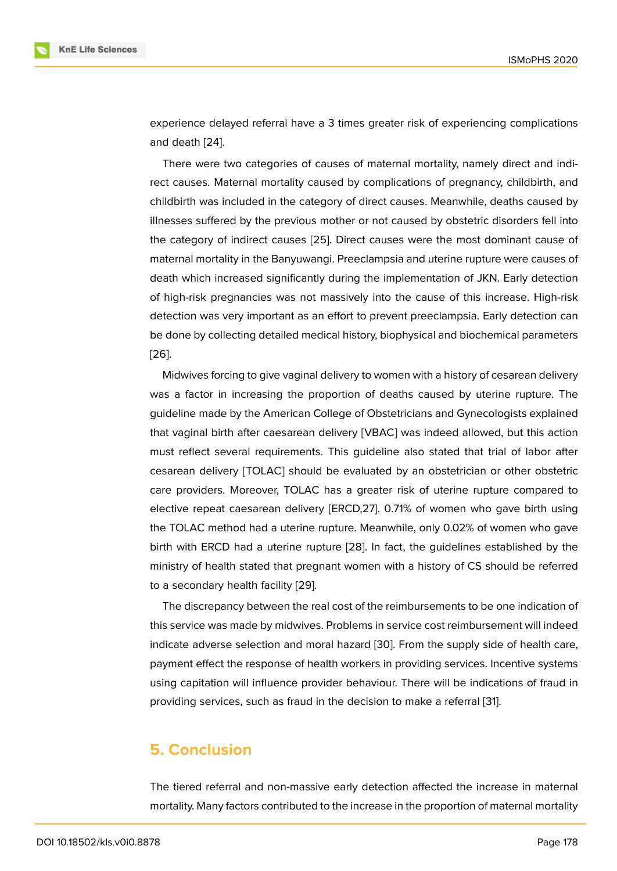experience delayed referral have a 3 times greater risk of experiencing complications and death [24].

There were two categories of causes of maternal mortality, namely direct and indirect causes. Maternal mortality caused by complications of pregnancy, childbirth, and childbirth [was](#page-10-0) included in the category of direct causes. Meanwhile, deaths caused by illnesses suffered by the previous mother or not caused by obstetric disorders fell into the category of indirect causes [25]. Direct causes were the most dominant cause of maternal mortality in the Banyuwangi. Preeclampsia and uterine rupture were causes of death which increased significantly during the implementation of JKN. Early detection of high-risk pregnancies was no[t m](#page-10-1)assively into the cause of this increase. High-risk detection was very important as an effort to prevent preeclampsia. Early detection can be done by collecting detailed medical history, biophysical and biochemical parameters [26].

Midwives forcing to give vaginal delivery to women with a history of cesarean delivery was a factor in increasing the proportion of deaths caused by uterine rupture. The [guid](#page-10-2)eline made by the American College of Obstetricians and Gynecologists explained that vaginal birth after caesarean delivery [VBAC] was indeed allowed, but this action must reflect several requirements. This guideline also stated that trial of labor after cesarean delivery [TOLAC] should be evaluated by an obstetrician or other obstetric care providers. Moreover, TOLAC has a greater risk of uterine rupture compared to elective repeat caesarean delivery [ERCD,27]. 0.71% of women who gave birth using the TOLAC method had a uterine rupture. Meanwhile, only 0.02% of women who gave birth with ERCD had a uterine rupture [28]. In fact, the guidelines established by the ministry of health stated that pregnant women with a history of CS should be referred to a secondary health facility [29].

The discrepancy between the real co[st of](#page-10-3) the reimbursements to be one indication of this service was made by midwives. Problems in service cost reimbursement will indeed indicate adverse selection an[d m](#page-10-4)oral hazard [30]. From the supply side of health care, payment effect the response of health workers in providing services. Incentive systems using capitation will influence provider behaviour. There will be indications of fraud in providing services, such as fraud in the decisi[on](#page-10-5) to make a referral [31].

## **5. Conclusion**

The tiered referral and non-massive early detection affected the increase in maternal mortality. Many factors contributed to the increase in the proportion of maternal mortality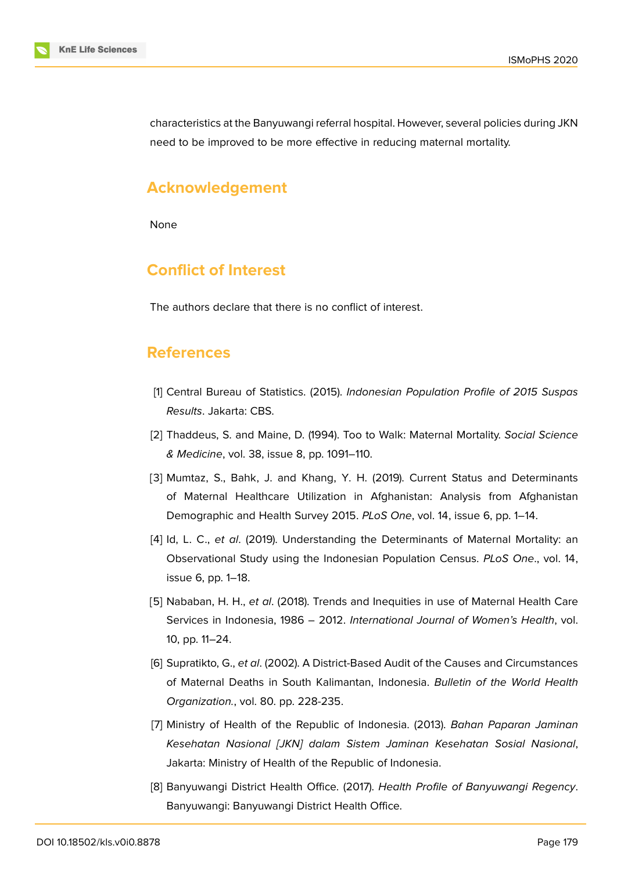

characteristics at the Banyuwangi referral hospital. However, several policies during JKN need to be improved to be more effective in reducing maternal mortality.

## **Acknowledgement**

None

## **Conflict of Interest**

The authors declare that there is no conflict of interest.

## **References**

- <span id="page-8-0"></span>[1] Central Bureau of Statistics. (2015). *Indonesian Population Profile of 2015 Suspas Results*. Jakarta: CBS.
- <span id="page-8-2"></span>[2] Thaddeus, S. and Maine, D. (1994). Too to Walk: Maternal Mortality. *Social Science & Medicine*, vol. 38, issue 8, pp. 1091–110.
- <span id="page-8-1"></span>[3] Mumtaz, S., Bahk, J. and Khang, Y. H. (2019). Current Status and Determinants of Maternal Healthcare Utilization in Afghanistan: Analysis from Afghanistan Demographic and Health Survey 2015. *PLoS One*, vol. 14, issue 6, pp. 1–14.
- <span id="page-8-3"></span>[4] Id, L. C., *et al*. (2019). Understanding the Determinants of Maternal Mortality: an Observational Study using the Indonesian Population Census. *PLoS One*., vol. 14, issue 6, pp. 1–18.
- <span id="page-8-4"></span>[5] Nababan, H. H., *et al*. (2018). Trends and Inequities in use of Maternal Health Care Services in Indonesia, 1986 – 2012. *International Journal of Women's Health*, vol. 10, pp. 11–24.
- <span id="page-8-5"></span>[6] Supratikto, G., *et al*. (2002). A District-Based Audit of the Causes and Circumstances of Maternal Deaths in South Kalimantan, Indonesia. *Bulletin of the World Health Organization.*, vol. 80. pp. 228-235.
- <span id="page-8-6"></span>[7] Ministry of Health of the Republic of Indonesia. (2013). *Bahan Paparan Jaminan Kesehatan Nasional [JKN] dalam Sistem Jaminan Kesehatan Sosial Nasional*, Jakarta: Ministry of Health of the Republic of Indonesia.
- [8] Banyuwangi District Health Office. (2017). *Health Profile of Banyuwangi Regency*. Banyuwangi: Banyuwangi District Health Office.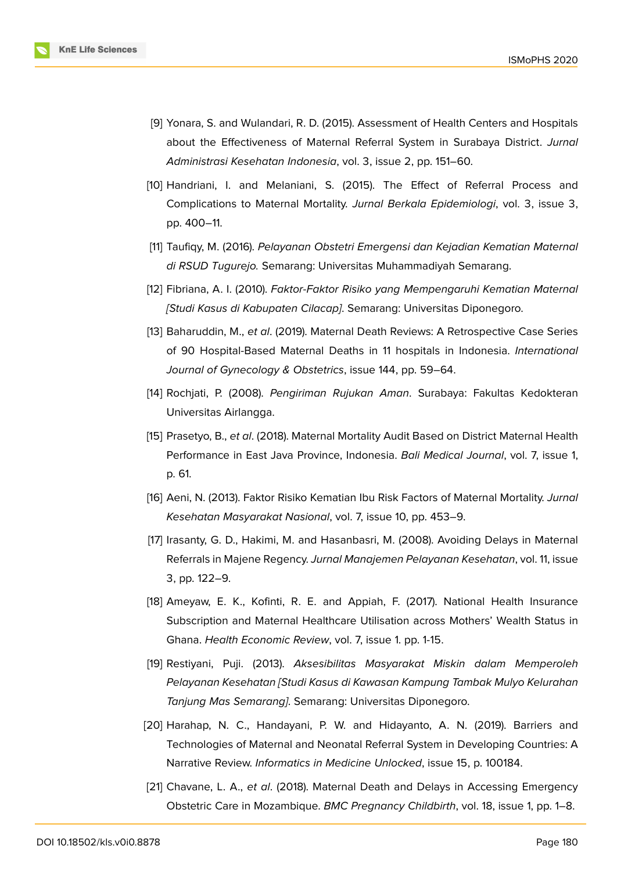

- <span id="page-9-0"></span>[9] Yonara, S. and Wulandari, R. D. (2015). Assessment of Health Centers and Hospitals about the Effectiveness of Maternal Referral System in Surabaya District. *Jurnal Administrasi Kesehatan Indonesia*, vol. 3, issue 2, pp. 151–60.
- <span id="page-9-1"></span>[10] Handriani, I. and Melaniani, S. (2015). The Effect of Referral Process and Complications to Maternal Mortality. *Jurnal Berkala Epidemiologi*, vol. 3, issue 3, pp. 400–11.
- <span id="page-9-2"></span>[11] Taufiqy, M. (2016). *Pelayanan Obstetri Emergensi dan Kejadian Kematian Maternal di RSUD Tugurejo.* Semarang: Universitas Muhammadiyah Semarang.
- <span id="page-9-3"></span>[12] Fibriana, A. I. (2010). *Faktor-Faktor Risiko yang Mempengaruhi Kematian Maternal [Studi Kasus di Kabupaten Cilacap]*. Semarang: Universitas Diponegoro.
- <span id="page-9-4"></span>[13] Baharuddin, M., *et al*. (2019). Maternal Death Reviews: A Retrospective Case Series of 90 Hospital-Based Maternal Deaths in 11 hospitals in Indonesia. *International Journal of Gynecology & Obstetrics*, issue 144, pp. 59–64.
- <span id="page-9-5"></span>[14] Rochjati, P. (2008). *Pengiriman Rujukan Aman*. Surabaya: Fakultas Kedokteran Universitas Airlangga.
- <span id="page-9-6"></span>[15] Prasetyo, B., *et al*. (2018). Maternal Mortality Audit Based on District Maternal Health Performance in East Java Province, Indonesia. *Bali Medical Journal*, vol. 7, issue 1, p. 61.
- <span id="page-9-7"></span>[16] Aeni, N. (2013). Faktor Risiko Kematian Ibu Risk Factors of Maternal Mortality. *Jurnal Kesehatan Masyarakat Nasional*, vol. 7, issue 10, pp. 453–9.
- <span id="page-9-8"></span>[17] Irasanty, G. D., Hakimi, M. and Hasanbasri, M. (2008). Avoiding Delays in Maternal Referrals in Majene Regency. *Jurnal Manajemen Pelayanan Kesehatan*, vol. 11, issue 3, pp. 122–9.
- <span id="page-9-9"></span>[18] Ameyaw, E. K., Kofinti, R. E. and Appiah, F. (2017). National Health Insurance Subscription and Maternal Healthcare Utilisation across Mothers' Wealth Status in Ghana. *Health Economic Review*, vol. 7, issue 1. pp. 1-15.
- <span id="page-9-10"></span>[19] Restiyani, Puji. (2013). *Aksesibilitas Masyarakat Miskin dalam Memperoleh Pelayanan Kesehatan [Studi Kasus di Kawasan Kampung Tambak Mulyo Kelurahan Tanjung Mas Semarang]*. Semarang: Universitas Diponegoro.
- <span id="page-9-11"></span>[20] Harahap, N. C., Handayani, P. W. and Hidayanto, A. N. (2019). Barriers and Technologies of Maternal and Neonatal Referral System in Developing Countries: A Narrative Review. *Informatics in Medicine Unlocked*, issue 15, p. 100184.
- <span id="page-9-12"></span>[21] Chavane, L. A., *et al*. (2018). Maternal Death and Delays in Accessing Emergency Obstetric Care in Mozambique. *BMC Pregnancy Childbirth*, vol. 18, issue 1, pp. 1–8.